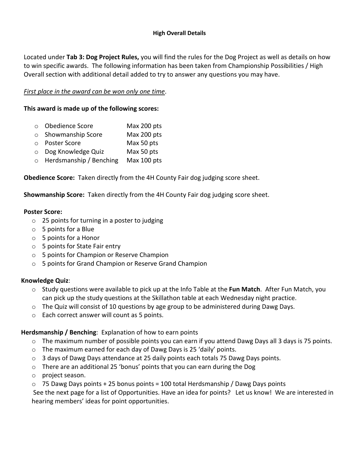#### **High Overall Details**

Located under **Tab 3: Dog Project Rules,** you will find the rules for the Dog Project as well as details on how to win specific awards. The following information has been taken from Championship Possibilities / High Overall section with additional detail added to try to answer any questions you may have.

## *First place in the award can be won only one time*.

## **This award is made up of the following scores:**

- o Obedience Score Max 200 pts
- o Showmanship Score Max 200 pts
- o Poster Score Max 50 pts
- o Dog Knowledge Quiz Max 50 pts
- o Herdsmanship / Benching Max 100 pts

**Obedience Score:** Taken directly from the 4H County Fair dog judging score sheet.

**Showmanship Score:** Taken directly from the 4H County Fair dog judging score sheet.

### **Poster Score:**

- o 25 points for turning in a poster to judging
- o 5 points for a Blue
- o 5 points for a Honor
- o 5 points for State Fair entry
- o 5 points for Champion or Reserve Champion
- o 5 points for Grand Champion or Reserve Grand Champion

# **Knowledge Quiz**:

- o Study questions were available to pick up at the Info Table at the **Fun Match**. After Fun Match, you can pick up the study questions at the Skillathon table at each Wednesday night practice.
- o The Quiz will consist of 10 questions by age group to be administered during Dawg Days.
- o Each correct answer will count as 5 points.

# **Herdsmanship / Benching**: Explanation of how to earn points

- $\circ$  The maximum number of possible points you can earn if you attend Dawg Days all 3 days is 75 points.
- o The maximum earned for each day of Dawg Days is 25 'daily' points.
- o 3 days of Dawg Days attendance at 25 daily points each totals 75 Dawg Days points.
- $\circ$  There are an additional 25 'bonus' points that you can earn during the Dog
- o project season.
- $\circ$  75 Dawg Days points + 25 bonus points = 100 total Herdsmanship / Dawg Days points

 See the next page for a list of Opportunities. Have an idea for points? Let us know! We are interested in hearing members' ideas for point opportunities.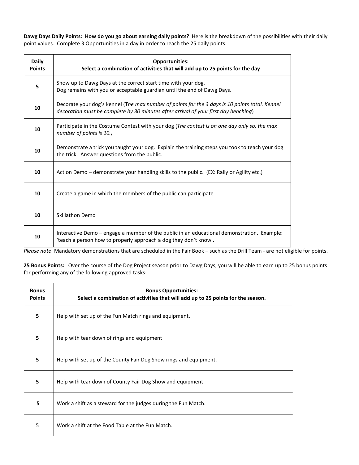**Dawg Days Daily Points: How do you go about earning daily points?** Here is the breakdown of the possibilities with their daily point values. Complete 3 Opportunities in a day in order to reach the 25 daily points:

| <b>Daily</b><br><b>Points</b> | <b>Opportunities:</b><br>Select a combination of activities that will add up to 25 points for the day                                                                                 |
|-------------------------------|---------------------------------------------------------------------------------------------------------------------------------------------------------------------------------------|
| 5                             | Show up to Dawg Days at the correct start time with your dog.<br>Dog remains with you or acceptable guardian until the end of Dawg Days.                                              |
| 10                            | Decorate your dog's kennel (The max number of points for the 3 days is 10 points total. Kennel<br>decoration must be complete by 30 minutes after arrival of your first day benching) |
| 10                            | Participate in the Costume Contest with your dog (The contest is on one day only so, the max<br>number of points is 10.)                                                              |
| 10                            | Demonstrate a trick you taught your dog. Explain the training steps you took to teach your dog<br>the trick. Answer questions from the public.                                        |
| 10                            | Action Demo – demonstrate your handling skills to the public. (EX: Rally or Agility etc.)                                                                                             |
| 10                            | Create a game in which the members of the public can participate.                                                                                                                     |
| 10                            | Skillathon Demo                                                                                                                                                                       |
| 10                            | Interactive Demo - engage a member of the public in an educational demonstration. Example:<br>'teach a person how to properly approach a dog they don't know'.                        |

*Please note*: Mandatory demonstrations that are scheduled in the Fair Book – such as the Drill Team - are not eligible for points.

**25 Bonus Points:** Over the course of the Dog Project season prior to Dawg Days, you will be able to earn up to 25 bonus points for performing any of the following approved tasks:

| <b>Bonus</b><br><b>Points</b> | <b>Bonus Opportunities:</b><br>Select a combination of activities that will add up to 25 points for the season. |
|-------------------------------|-----------------------------------------------------------------------------------------------------------------|
| 5                             | Help with set up of the Fun Match rings and equipment.                                                          |
| 5                             | Help with tear down of rings and equipment                                                                      |
| 5                             | Help with set up of the County Fair Dog Show rings and equipment.                                               |
| 5                             | Help with tear down of County Fair Dog Show and equipment                                                       |
| 5                             | Work a shift as a steward for the judges during the Fun Match.                                                  |
| 5                             | Work a shift at the Food Table at the Fun Match.                                                                |